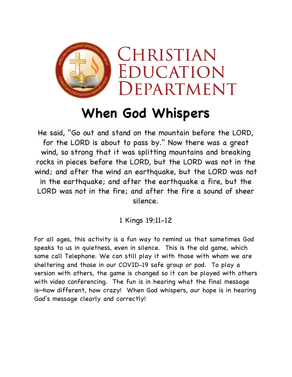

## **When God Whispers**

He said, "Go out and stand on the mountain before the LORD, for the LORD is about to pass by." Now there was a great wind, so strong that it was splitting mountains and breaking rocks in pieces before the LORD, but the LORD was not in the wind; and after the wind an earthquake, but the LORD was not in the earthquake; and after the earthquake a fire, but the LORD was not in the fire; and after the fire a sound of sheer silence.

1 Kings 19:11-12

For all ages, this activity is a fun way to remind us that sometimes God speaks to us in quietness, even in silence. This is the old game, which some call Telephone. We can still play it with those with whom we are sheltering and those in our COVID-19 safe group or pod. To play a version with others, the game is changed so it can be played with others with video conferencing. The fun is in hearing what the final message is—how different, how crazy! When God whispers, our hope is in hearing God's message clearly and correctly!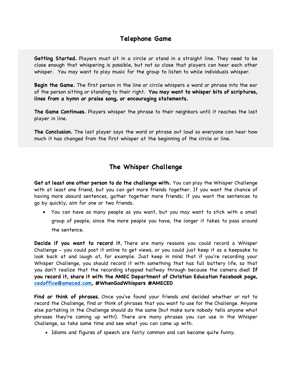**Getting Started.** Players must sit in a circle or stand in a straight line. They need to be close enough that whispering is possible, but not so close that players can hear each other whisper. You may want to play music for the group to listen to while individuals whisper.

**Begin the Game.** The first person in the line or circle whispers a word or phrase into the ear of the person sitting or standing to their right. **You may want to whisper bits of scriptures, lines from a hymn or praise song, or encouraging statements.**

**The Game Continues.** Players whisper the phrase to their neighbors until it reaches the last player in line.

**The Conclusion.** The last player says the word or phrase out loud so everyone can hear how much it has changed from the first whisper at the beginning of the circle or line.

## **The Whisper Challenge**

**Get at least one other person to do the challenge with.** You can play the Whisper Challenge with at least one friend, but you can get more friends together. If you want the chance of having more absurd sentences, gather together more friends; if you want the sentences to go by quickly, aim for one or two friends.

• You can have as many people as you want, but you may want to stick with a small group of people, since the more people you have, the longer it takes to pass around the sentence.

**Decide if you want to record it.** There are many reasons you could record a Whisper Challenge - you could post it online to get views, or you could just keep it as a keepsake to look back at and laugh at, for example. Just keep in mind that if you're recording your Whisper Challenge, you should record it with something that has full battery life, so that you don't realize that the recording stopped halfway through because the camera died! **If you record it, share it with the AMEC Department of Christian Education Facebook page, cedoffice@ameced.com, #WhenGodWhispers #AMECED**

**Find or think of phrases.** Once you've found your friends and decided whether or not to record the Challenge, find or think of phrases that you want to use for the Challenge. Anyone else partaking in the Challenge should do the same (but make sure nobody tells anyone what phrases they're coming up with!). There are many phrases you can use in the Whisper Challenge, so take some time and see what you can come up with.

• Idioms and figures of speech are fairly common and can become quite funny.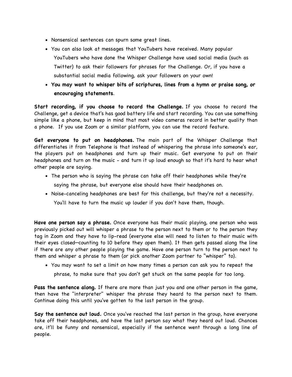- Nonsensical sentences can spurn some great lines.
- You can also look at messages that YouTubers have received. Many popular YouTubers who have done the Whisper Challenge have used social media (such as Twitter) to ask their followers for phrases for the Challenge. Or, if you have a substantial social media following, ask your followers on your own!
- **You may want to whisper bits of scriptures, lines from a hymn or praise song, or encouraging statements**.

**Start recording, if you choose to record the Challenge.** If you choose to record the Challenge, get a device that's has good battery life and start recording. You can use something simple like a phone, but keep in mind that most video cameras record in better quality than a phone. If you use Zoom or a similar platform, you can use the record feature.

**Get everyone to put on headphones.** The main part of the Whisper Challenge that differentiates it from Telephone is that instead of whispering the phrase into someone's ear, the players put on headphones and turn up their music. Get everyone to put on their headphones and turn on the music - and turn it up loud enough so that it's hard to hear what other people are saying.

- The person who is saying the phrase can take off their headphones while they're saying the phrase, but everyone else should have their headphones on.
- Noise-canceling headphones are best for this challenge, but they're not a necessity. You'll have to turn the music up louder if you don't have them, though.

**Have one person say a phrase.** Once everyone has their music playing, one person who was previously picked out will whisper a phrase to the person next to them or to the person they tag in Zoom and they have to lip-read (everyone else will need to listen to their music with their eyes closed—counting to 10 before they open them). It then gets passed along the line if there are any other people playing the game. Have one person turn to the person next to them and whisper a phrase to them (or pick another Zoom partner to "whisper" to).

• You may want to set a limit on how many times a person can ask you to repeat the phrase, to make sure that you don't get stuck on the same people for too long.

**Pass the sentence along.** If there are more than just you and one other person in the game, then have the "interpreter" whisper the phrase they heard to the person next to them. Continue doing this until you've gotten to the last person in the group.

**Say the sentence out loud.** Once you've reached the last person in the group, have everyone take off their headphones, and have the last person say what they heard out loud. Chances are, it'll be funny and nonsensical, especially if the sentence went through a long line of people.